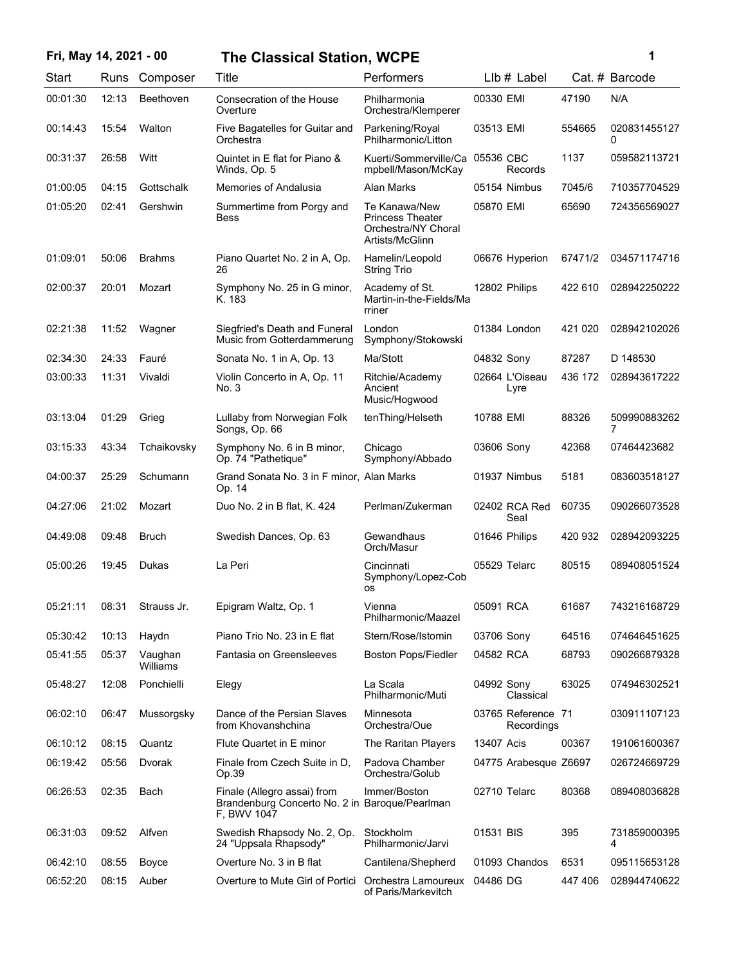# **Fri, May 14, 2021 - 00 1 The Classical Station, WCPE**

| ï<br>۰. |  |
|---------|--|
|         |  |

| Start    | Runs  | Composer            | Title                                                                                        | Performers                                                                         | LIb # Label                      |         | Cat. # Barcode    |
|----------|-------|---------------------|----------------------------------------------------------------------------------------------|------------------------------------------------------------------------------------|----------------------------------|---------|-------------------|
| 00:01:30 | 12:13 | Beethoven           | Consecration of the House<br>Overture                                                        | Philharmonia<br>Orchestra/Klemperer                                                | 00330 EMI                        | 47190   | N/A               |
| 00:14:43 | 15:54 | Walton              | Five Bagatelles for Guitar and<br>Orchestra                                                  | Parkening/Royal<br>Philharmonic/Litton                                             | 03513 EMI                        | 554665  | 020831455127<br>0 |
| 00:31:37 | 26:58 | Witt                | Quintet in E flat for Piano &<br>Winds, Op. 5                                                | Kuerti/Sommerville/Ca<br>mpbell/Mason/McKay                                        | 05536 CBC<br>Records             | 1137    | 059582113721      |
| 01:00:05 | 04:15 | Gottschalk          | Memories of Andalusia                                                                        | Alan Marks                                                                         | 05154 Nimbus                     | 7045/6  | 710357704529      |
| 01:05:20 | 02:41 | Gershwin            | Summertime from Porgy and<br><b>Bess</b>                                                     | Te Kanawa/New<br><b>Princess Theater</b><br>Orchestra/NY Choral<br>Artists/McGlinn | 05870 EMI                        | 65690   | 724356569027      |
| 01:09:01 | 50:06 | <b>Brahms</b>       | Piano Quartet No. 2 in A, Op.<br>26                                                          | Hamelin/Leopold<br><b>String Trio</b>                                              | 06676 Hyperion                   | 67471/2 | 034571174716      |
| 02:00:37 | 20:01 | Mozart              | Symphony No. 25 in G minor,<br>K. 183                                                        | Academy of St.<br>Martin-in-the-Fields/Ma<br>rriner                                | 12802 Philips                    | 422 610 | 028942250222      |
| 02:21:38 | 11:52 | Wagner              | Siegfried's Death and Funeral<br>Music from Gotterdammerung                                  | London<br>Symphony/Stokowski                                                       | 01384 London                     | 421 020 | 028942102026      |
| 02:34:30 | 24:33 | Fauré               | Sonata No. 1 in A, Op. 13                                                                    | Ma/Stott                                                                           | 04832 Sony                       | 87287   | D 148530          |
| 03:00:33 | 11:31 | Vivaldi             | Violin Concerto in A, Op. 11<br>No. 3                                                        | Ritchie/Academy<br>Ancient<br>Music/Hogwood                                        | 02664 L'Oiseau<br>Lyre           | 436 172 | 028943617222      |
| 03:13:04 | 01:29 | Grieg               | Lullaby from Norwegian Folk<br>Songs, Op. 66                                                 | tenThing/Helseth                                                                   | 10788 EMI                        | 88326   | 509990883262<br>7 |
| 03:15:33 | 43:34 | Tchaikovsky         | Symphony No. 6 in B minor,<br>Op. 74 "Pathetique"                                            | Chicago<br>Symphony/Abbado                                                         | 03606 Sony                       | 42368   | 07464423682       |
| 04:00:37 | 25:29 | Schumann            | Grand Sonata No. 3 in F minor, Alan Marks<br>Op. 14                                          |                                                                                    | 01937 Nimbus                     | 5181    | 083603518127      |
| 04:27:06 | 21:02 | Mozart              | Duo No. 2 in B flat, K. 424                                                                  | Perlman/Zukerman                                                                   | 02402 RCA Red<br>Seal            | 60735   | 090266073528      |
| 04:49:08 | 09:48 | <b>Bruch</b>        | Swedish Dances, Op. 63                                                                       | Gewandhaus<br>Orch/Masur                                                           | 01646 Philips                    | 420 932 | 028942093225      |
| 05:00:26 | 19:45 | Dukas               | La Peri                                                                                      | Cincinnati<br>Symphony/Lopez-Cob<br>os                                             | 05529 Telarc                     | 80515   | 089408051524      |
| 05:21:11 | 08:31 | Strauss Jr.         | Epigram Waltz, Op. 1                                                                         | Vienna<br>Philharmonic/Maazel                                                      | 05091 RCA                        | 61687   | 743216168729      |
| 05:30:42 | 10:13 | Haydn               | Piano Trio No. 23 in E flat                                                                  | Stern/Rose/Istomin                                                                 | 03706 Sony                       | 64516   | 074646451625      |
| 05:41:55 | 05:37 | Vaughan<br>Williams | Fantasia on Greensleeves                                                                     | <b>Boston Pops/Fiedler</b>                                                         | 04582 RCA                        | 68793   | 090266879328      |
| 05:48:27 | 12:08 | Ponchielli          | Elegy                                                                                        | La Scala<br>Philharmonic/Muti                                                      | 04992 Sony<br>Classical          | 63025   | 074946302521      |
| 06:02:10 | 06:47 | Mussorgsky          | Dance of the Persian Slaves<br>from Khovanshchina                                            | Minnesota<br>Orchestra/Oue                                                         | 03765 Reference 71<br>Recordings |         | 030911107123      |
| 06:10:12 | 08:15 | Quantz              | Flute Quartet in E minor                                                                     | The Raritan Players                                                                | 13407 Acis                       | 00367   | 191061600367      |
| 06:19:42 | 05:56 | Dvorak              | Finale from Czech Suite in D.<br>Op.39                                                       | Padova Chamber<br>Orchestra/Golub                                                  | 04775 Arabesque Z6697            |         | 026724669729      |
| 06:26:53 | 02:35 | Bach                | Finale (Allegro assai) from<br>Brandenburg Concerto No. 2 in Baroque/Pearlman<br>F, BWV 1047 | Immer/Boston                                                                       | 02710 Telarc                     | 80368   | 089408036828      |
| 06:31:03 | 09:52 | Alfven              | Swedish Rhapsody No. 2, Op.<br>24 "Uppsala Rhapsody"                                         | Stockholm<br>Philharmonic/Jarvi                                                    | 01531 BIS                        | 395     | 731859000395<br>4 |
| 06:42:10 | 08:55 | Boyce               | Overture No. 3 in B flat                                                                     | Cantilena/Shepherd                                                                 | 01093 Chandos                    | 6531    | 095115653128      |
| 06:52:20 | 08:15 | Auber               | Overture to Mute Girl of Portici                                                             | Orchestra Lamoureux<br>of Paris/Markevitch                                         | 04486 DG                         | 447 406 | 028944740622      |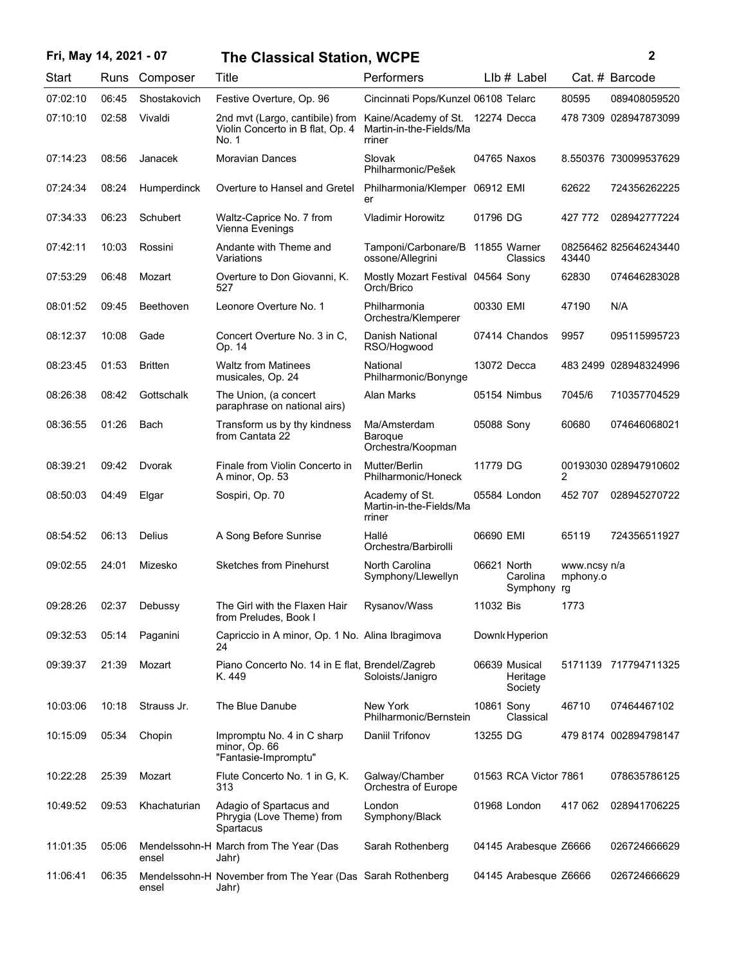### **Fri, May 14, 2021 - 07 2 The Classical Station, WCPE**

| ł | i |
|---|---|
|   |   |
|   |   |

| Start    | Runs  | Composer       | Title                                                                        | Performers                                                            |             | $Llb#$ Label                         |                                | Cat. # Barcode        |
|----------|-------|----------------|------------------------------------------------------------------------------|-----------------------------------------------------------------------|-------------|--------------------------------------|--------------------------------|-----------------------|
| 07:02:10 | 06:45 | Shostakovich   | Festive Overture, Op. 96                                                     | Cincinnati Pops/Kunzel 06108 Telarc                                   |             |                                      | 80595                          | 089408059520          |
| 07:10:10 | 02:58 | Vivaldi        | 2nd mvt (Largo, cantibile) from<br>Violin Concerto in B flat, Op. 4<br>No. 1 | Kaine/Academy of St. 12274 Decca<br>Martin-in-the-Fields/Ma<br>rriner |             |                                      |                                | 478 7309 028947873099 |
| 07:14:23 | 08:56 | Janacek        | <b>Moravian Dances</b>                                                       | Slovak<br>Philharmonic/Pešek                                          |             | 04765 Naxos                          |                                | 8.550376 730099537629 |
| 07:24:34 | 08:24 | Humperdinck    | Overture to Hansel and Gretel                                                | Philharmonia/Klemper 06912 EMI<br>er                                  |             |                                      | 62622                          | 724356262225          |
| 07:34:33 | 06:23 | Schubert       | Waltz-Caprice No. 7 from<br>Vienna Evenings                                  | <b>Vladimir Horowitz</b>                                              | 01796 DG    |                                      | 427 772                        | 028942777224          |
| 07:42:11 | 10:03 | Rossini        | Andante with Theme and<br>Variations                                         | Tamponi/Carbonare/B 11855 Warner<br>ossone/Allegrini                  |             | Classics                             | 43440                          | 08256462 825646243440 |
| 07:53:29 | 06:48 | Mozart         | Overture to Don Giovanni, K.<br>527                                          | Mostly Mozart Festival 04564 Sony<br>Orch/Brico                       |             |                                      | 62830                          | 074646283028          |
| 08:01:52 | 09:45 | Beethoven      | Leonore Overture No. 1                                                       | Philharmonia<br>Orchestra/Klemperer                                   | 00330 EMI   |                                      | 47190                          | N/A                   |
| 08:12:37 | 10:08 | Gade           | Concert Overture No. 3 in C.<br>Op. 14                                       | Danish National<br>RSO/Hogwood                                        |             | 07414 Chandos                        | 9957                           | 095115995723          |
| 08:23:45 | 01:53 | <b>Britten</b> | <b>Waltz from Matinees</b><br>musicales, Op. 24                              | National<br>Philharmonic/Bonynge                                      |             | 13072 Decca                          |                                | 483 2499 028948324996 |
| 08:26:38 | 08:42 | Gottschalk     | The Union, (a concert<br>paraphrase on national airs)                        | Alan Marks                                                            |             | 05154 Nimbus                         | 7045/6                         | 710357704529          |
| 08:36:55 | 01:26 | Bach           | Transform us by thy kindness<br>from Cantata 22                              | Ma/Amsterdam<br>Baroque<br>Orchestra/Koopman                          | 05088 Sony  |                                      | 60680                          | 074646068021          |
| 08:39:21 | 09:42 | Dvorak         | Finale from Violin Concerto in<br>A minor, Op. 53                            | Mutter/Berlin<br>Philharmonic/Honeck                                  | 11779 DG    |                                      | 2                              | 00193030 028947910602 |
| 08:50:03 | 04:49 | Elgar          | Sospiri, Op. 70                                                              | Academy of St.<br>Martin-in-the-Fields/Ma<br>rriner                   |             | 05584 London                         | 452 707                        | 028945270722          |
| 08:54:52 | 06:13 | Delius         | A Song Before Sunrise                                                        | Hallé<br>Orchestra/Barbirolli                                         | 06690 EMI   |                                      | 65119                          | 724356511927          |
| 09:02:55 | 24:01 | Mizesko        | <b>Sketches from Pinehurst</b>                                               | North Carolina<br>Symphony/Llewellyn                                  | 06621 North | Carolina<br>Symphony                 | www.ncsy n/a<br>mphony.o<br>rg |                       |
| 09:28:26 | 02:37 | Debussy        | The Girl with the Flaxen Hair<br>from Preludes, Book I                       | Rysanov/Wass                                                          | 11032 Bis   |                                      | 1773                           |                       |
| 09:32:53 | 05:14 | Paganini       | Capriccio in A minor, Op. 1 No. Alina Ibragimova<br>24                       |                                                                       |             | Downk Hyperion                       |                                |                       |
| 09:39:37 | 21:39 | Mozart         | Piano Concerto No. 14 in E flat, Brendel/Zagreb<br>K. 449                    | Soloists/Janigro                                                      |             | 06639 Musical<br>Heritage<br>Society |                                | 5171139 717794711325  |
| 10:03:06 | 10:18 | Strauss Jr.    | The Blue Danube                                                              | New York<br>Philharmonic/Bernstein                                    | 10861 Sony  | Classical                            | 46710                          | 07464467102           |
| 10:15:09 | 05:34 | Chopin         | Impromptu No. 4 in C sharp<br>minor, Op. 66<br>"Fantasie-Impromptu"          | Daniil Trifonov                                                       | 13255 DG    |                                      |                                | 479 8174 002894798147 |
| 10:22:28 | 25:39 | Mozart         | Flute Concerto No. 1 in G, K.<br>313                                         | Galway/Chamber<br>Orchestra of Europe                                 |             | 01563 RCA Victor 7861                |                                | 078635786125          |
| 10:49:52 | 09:53 | Khachaturian   | Adagio of Spartacus and<br>Phrygia (Love Theme) from<br>Spartacus            | London<br>Symphony/Black                                              |             | 01968 London                         | 417 062                        | 028941706225          |
| 11:01:35 | 05:06 | ensel          | Mendelssohn-H March from The Year (Das<br>Jahr)                              | Sarah Rothenberg                                                      |             | 04145 Arabesque Z6666                |                                | 026724666629          |
| 11:06:41 | 06:35 | ensel          | Mendelssohn-H November from The Year (Das Sarah Rothenberg<br>Jahr)          |                                                                       |             | 04145 Arabesque Z6666                |                                | 026724666629          |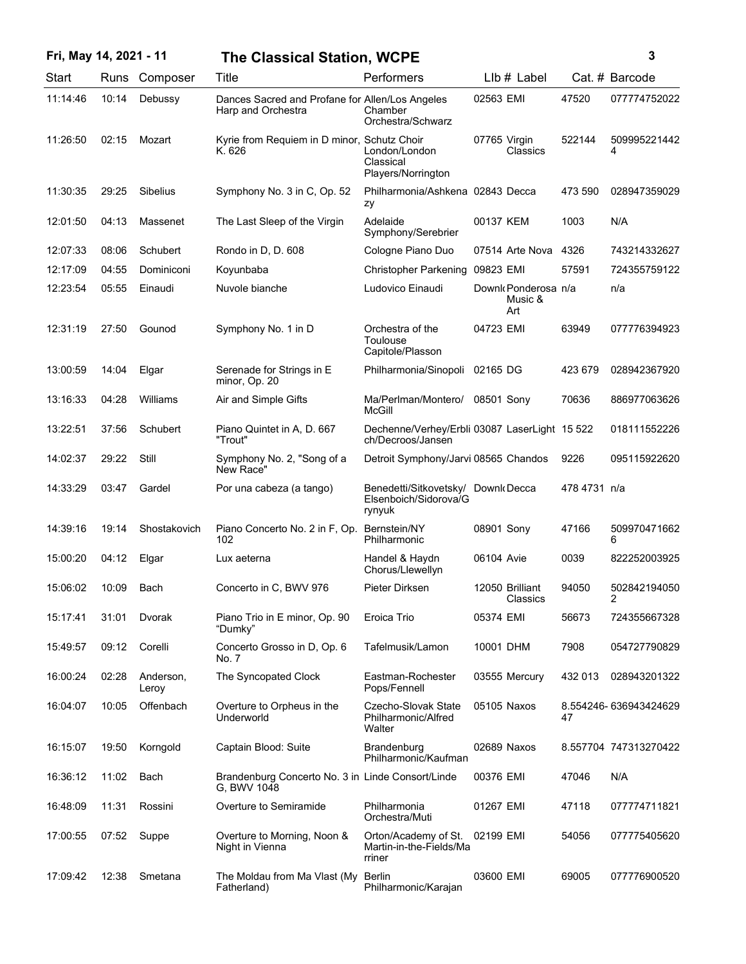| Fri, May 14, 2021 - 11 |       |                    | <b>The Classical Station, WCPE</b>                                    |                                                                       |                                       | 3            |                       |
|------------------------|-------|--------------------|-----------------------------------------------------------------------|-----------------------------------------------------------------------|---------------------------------------|--------------|-----------------------|
| Start                  | Runs  | Composer           | Title                                                                 | Performers                                                            | $Llb#$ Label                          |              | Cat. # Barcode        |
| 11:14:46               | 10:14 | Debussy            | Dances Sacred and Profane for Allen/Los Angeles<br>Harp and Orchestra | Chamber<br>Orchestra/Schwarz                                          | 02563 EMI                             | 47520        | 077774752022          |
| 11:26:50               | 02:15 | Mozart             | Kyrie from Requiem in D minor, Schutz Choir<br>K. 626                 | London/London<br>Classical<br>Players/Norrington                      | 07765 Virgin<br>Classics              | 522144       | 509995221442<br>4     |
| 11:30:35               | 29:25 | Sibelius           | Symphony No. 3 in C, Op. 52                                           | Philharmonia/Ashkena 02843 Decca<br>zy                                |                                       | 473 590      | 028947359029          |
| 12:01:50               | 04:13 | Massenet           | The Last Sleep of the Virgin                                          | Adelaide<br>Symphony/Serebrier                                        | 00137 KEM                             | 1003         | N/A                   |
| 12:07:33               | 08:06 | Schubert           | Rondo in D, D. 608                                                    | Cologne Piano Duo                                                     | 07514 Arte Nova                       | 4326         | 743214332627          |
| 12:17:09               | 04:55 | Dominiconi         | Koyunbaba                                                             | <b>Christopher Parkening</b>                                          | 09823 EMI                             | 57591        | 724355759122          |
| 12:23:54               | 05:55 | Einaudi            | Nuvole bianche                                                        | Ludovico Einaudi                                                      | Downk Ponderosa n/a<br>Music &<br>Art |              | n/a                   |
| 12:31:19               | 27:50 | Gounod             | Symphony No. 1 in D                                                   | Orchestra of the<br>Toulouse<br>Capitole/Plasson                      | 04723 EMI                             | 63949        | 077776394923          |
| 13:00:59               | 14:04 | Elgar              | Serenade for Strings in E<br>minor, Op. 20                            | Philharmonia/Sinopoli                                                 | 02165 DG                              | 423 679      | 028942367920          |
| 13:16:33               | 04:28 | Williams           | Air and Simple Gifts                                                  | Ma/Perlman/Montero/<br>McGill                                         | 08501 Sony                            | 70636        | 886977063626          |
| 13:22:51               | 37:56 | Schubert           | Piano Quintet in A, D. 667<br>"Trout"                                 | Dechenne/Verhey/Erbli 03087 LaserLight 15 522<br>ch/Decroos/Jansen    |                                       |              | 018111552226          |
| 14:02:37               | 29:22 | Still              | Symphony No. 2, "Song of a<br>New Race"                               | Detroit Symphony/Jarvi 08565 Chandos                                  |                                       | 9226         | 095115922620          |
| 14:33:29               | 03:47 | Gardel             | Por una cabeza (a tango)                                              | Benedetti/Sitkovetsky/ Downk Decca<br>Elsenboich/Sidorova/G<br>rynyuk |                                       | 478 4731 n/a |                       |
| 14:39:16               | 19:14 | Shostakovich       | Piano Concerto No. 2 in F, Op.<br>102                                 | Bernstein/NY<br>Philharmonic                                          | 08901 Sony                            | 47166        | 509970471662<br>6     |
| 15:00:20               | 04:12 | Elgar              | Lux aeterna                                                           | Handel & Haydn<br>Chorus/Llewellyn                                    | 06104 Avie                            | 0039         | 822252003925          |
| 15:06:02               | 10:09 | Bach               | Concerto in C, BWV 976                                                | Pieter Dirksen                                                        | 12050 Brilliant<br>Classics           | 94050        | 502842194050          |
| 15:17:41               | 31:01 | Dvorak             | Piano Trio in E minor, Op. 90<br>"Dumky"                              | Eroica Trio                                                           | 05374 EMI                             | 56673        | 724355667328          |
| 15:49:57               | 09:12 | Corelli            | Concerto Grosso in D, Op. 6<br>No. 7                                  | Tafelmusik/Lamon                                                      | 10001 DHM                             | 7908         | 054727790829          |
| 16:00:24               | 02:28 | Anderson,<br>Leroy | The Syncopated Clock                                                  | Eastman-Rochester<br>Pops/Fennell                                     | 03555 Mercury                         | 432 013      | 028943201322          |
| 16:04:07               | 10:05 | Offenbach          | Overture to Orpheus in the<br>Underworld                              | Czecho-Slovak State<br>Philharmonic/Alfred<br>Walter                  | 05105 Naxos                           | 47           | 8.554246-636943424629 |
| 16:15:07               | 19:50 | Korngold           | Captain Blood: Suite                                                  | Brandenburg<br>Philharmonic/Kaufman                                   | 02689 Naxos                           |              | 8.557704 747313270422 |
| 16:36:12               | 11:02 | Bach               | Brandenburg Concerto No. 3 in Linde Consort/Linde<br>G, BWV 1048      |                                                                       | 00376 EMI                             | 47046        | N/A                   |
| 16:48:09               | 11:31 | Rossini            | Overture to Semiramide                                                | Philharmonia<br>Orchestra/Muti                                        | 01267 EMI                             | 47118        | 077774711821          |
| 17:00:55               | 07:52 | Suppe              | Overture to Morning, Noon &<br>Night in Vienna                        | Orton/Academy of St.<br>Martin-in-the-Fields/Ma<br>rriner             | 02199 EMI                             | 54056        | 077775405620          |
| 17:09:42               | 12:38 | Smetana            | The Moldau from Ma Vlast (My Berlin<br>Fatherland)                    | Philharmonic/Karajan                                                  | 03600 EMI                             | 69005        | 077776900520          |